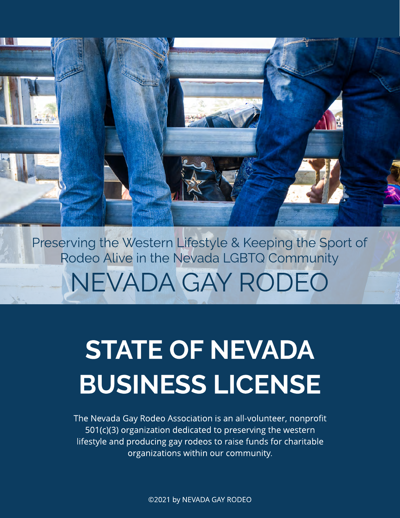NEVADA GAY RODEO Preserving the Western Lifestyle & Keeping the Sport of Rodeo Alive in the Nevada LGBTQ Community

# STATE OF NEVADA BUSINESS LICENSE

The Nevada Gay Rodeo Association is an all-volunteer, nonprofit 501(c)(3) organization dedicated to preserving the western lifestyle and producing gay rodeos to raise funds for charitable organizations within our community.

©2021 by NEVADA GAY RODEO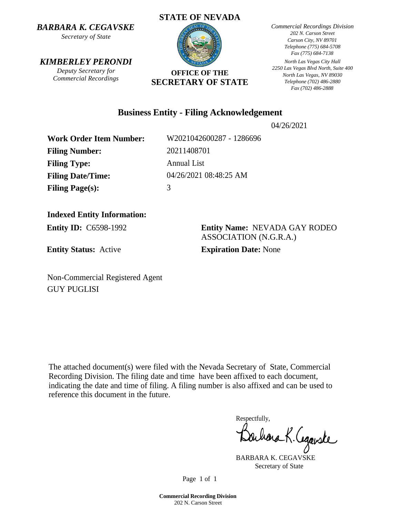*BARBARA K. CEGAVSKE*

*Secretary of State*

#### *KIMBERLEY PERONDI*

*Deputy Secretary for Commercial Recordings*

## **STATE OF NEVADA OFFICE OF THE SECRETARY OF STATE**

*Commercial Recordings Division 202 N. Carson Street Carson City, NV 89701 Telephone (775) 684-5708 Fax (775) 684-7138* 

*North Las Vegas City Hall 2250 Las Vegas Blvd North, Suite 400 North Las Vegas, NV 89030 Telephone (702) 486-2880 Fax (702) 486-2888*

#### **Business Entity - Filing Acknowledgement**

04/26/2021

**Work Order Item Number:** W2021042600287 - 1286696 **Filing Number:** 20211408701 **Filing Type:** Annual List **Filing Date/Time:** 04/26/2021 08:48:25 AM Filing Page(s): 3

### **Indexed Entity Information:**

**Entity Status:** Active **Expiration Date:** None

**Entity ID:** C6598-1992 **Entity Name:** NEVADA GAY RODEO ASSOCIATION (N.G.R.A.)

Non-Commercial Registered Agent GUY PUGLISI

The attached document(s) were filed with the Nevada Secretary of State, Commercial Recording Division. The filing date and time have been affixed to each document, indicating the date and time of filing. A filing number is also affixed and can be used to reference this document in the future.

Respectfully,

schara K. Cegarske

BARBARA K. CEGAVSKE Secretary of State

Page 1 of 1

**Commercial Recording Division** 202 N. Carson Street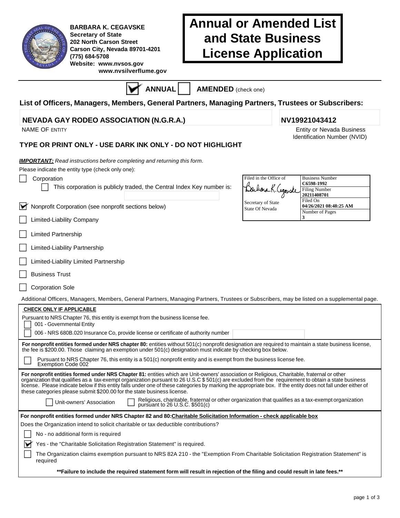| R          |  |
|------------|--|
|            |  |
|            |  |
| <b>AND</b> |  |
|            |  |

**BARBARA K. CEGAVSKE Secretary of State 202 North Carson Street Carson City, Nevada 89701-4201 (775) 684-5708 Website: www.nvsos.gov www.nvsilverflume.gov** 

## **Annual or Amended List and State Business License Application**

**ANNUAL AMENDED** (check one)

#### **List of Officers, Managers, Members, General Partners, Managing Partners, Trustees or Subscribers:**

#### **NEVADA GAY RODEO ASSOCIATION (N.G.R.A.) NV19921043412**

#### **TYPE OR PRINT ONLY - USE DARK INK ONLY - DO NOT HIGHLIGHT**

| <b>IMPORTANT:</b> Read instructions before completing and returning this form.<br>Please indicate the entity type (check only one):                                                                                                                                                                                                                                                                                                                                                                                                                                                                                                                                                                                   |                                               |                                                                                         |
|-----------------------------------------------------------------------------------------------------------------------------------------------------------------------------------------------------------------------------------------------------------------------------------------------------------------------------------------------------------------------------------------------------------------------------------------------------------------------------------------------------------------------------------------------------------------------------------------------------------------------------------------------------------------------------------------------------------------------|-----------------------------------------------|-----------------------------------------------------------------------------------------|
| Corporation<br>This corporation is publicly traded, the Central Index Key number is:                                                                                                                                                                                                                                                                                                                                                                                                                                                                                                                                                                                                                                  | Filed in the Office of<br>Barbara K. Cegarske | <b>Business Number</b><br>C6598-1992<br><b>Filing Number</b><br>20211408701<br>Filed On |
| Nonprofit Corporation (see nonprofit sections below)<br>∀                                                                                                                                                                                                                                                                                                                                                                                                                                                                                                                                                                                                                                                             | Secretary of State<br>State Of Nevada         | 04/26/2021 08:48:25 AM<br>Number of Pages                                               |
| Limited-Liability Company                                                                                                                                                                                                                                                                                                                                                                                                                                                                                                                                                                                                                                                                                             |                                               | 3                                                                                       |
| <b>Limited Partnership</b>                                                                                                                                                                                                                                                                                                                                                                                                                                                                                                                                                                                                                                                                                            |                                               |                                                                                         |
| Limited-Liability Partnership                                                                                                                                                                                                                                                                                                                                                                                                                                                                                                                                                                                                                                                                                         |                                               |                                                                                         |
| Limited-Liability Limited Partnership                                                                                                                                                                                                                                                                                                                                                                                                                                                                                                                                                                                                                                                                                 |                                               |                                                                                         |
| <b>Business Trust</b>                                                                                                                                                                                                                                                                                                                                                                                                                                                                                                                                                                                                                                                                                                 |                                               |                                                                                         |
| <b>Corporation Sole</b>                                                                                                                                                                                                                                                                                                                                                                                                                                                                                                                                                                                                                                                                                               |                                               |                                                                                         |
| Additional Officers, Managers, Members, General Partners, Managing Partners, Trustees or Subscribers, may be listed on a supplemental page.                                                                                                                                                                                                                                                                                                                                                                                                                                                                                                                                                                           |                                               |                                                                                         |
| <b>CHECK ONLY IF APPLICABLE</b>                                                                                                                                                                                                                                                                                                                                                                                                                                                                                                                                                                                                                                                                                       |                                               |                                                                                         |
| Pursuant to NRS Chapter 76, this entity is exempt from the business license fee.<br>001 - Governmental Entity                                                                                                                                                                                                                                                                                                                                                                                                                                                                                                                                                                                                         |                                               |                                                                                         |
| 006 - NRS 680B.020 Insurance Co, provide license or certificate of authority number                                                                                                                                                                                                                                                                                                                                                                                                                                                                                                                                                                                                                                   |                                               |                                                                                         |
| For nonprofit entities formed under NRS chapter 80: entities without 501(c) nonprofit designation are required to maintain a state business license,<br>the fee is \$200.00. Those claiming an exemption under 501(c) designation must indicate by checking box below.                                                                                                                                                                                                                                                                                                                                                                                                                                                |                                               |                                                                                         |
| Pursuant to NRS Chapter 76, this entity is a 501(c) nonprofit entity and is exempt from the business license fee.<br>Exemption Code 002                                                                                                                                                                                                                                                                                                                                                                                                                                                                                                                                                                               |                                               |                                                                                         |
| For nonprofit entities formed under NRS Chapter 81: entities which are Unit-owners' association or Religious, Charitable, fraternal or other<br>organization that qualifies as a tax-exempt organization pursuant to 26 U.S.C \$501(c) are excluded from the requirement to obtain a state business<br>license. Please indicate below if this entity falls under one of these categories by marking the appropriate box. If the entity does not fall under either of<br>these categories please submit \$200.00 for the state business license.<br>Religious, charitable, fraternal or other organization that qualifies as a tax-exempt organization<br>Unit-owners' Association<br>pursuant to $26$ U.S.C. \$501(c) |                                               |                                                                                         |
| For nonprofit entities formed under NRS Chapter 82 and 80:Charitable Solicitation Information - check applicable box                                                                                                                                                                                                                                                                                                                                                                                                                                                                                                                                                                                                  |                                               |                                                                                         |
| Does the Organization intend to solicit charitable or tax deductible contributions?                                                                                                                                                                                                                                                                                                                                                                                                                                                                                                                                                                                                                                   |                                               |                                                                                         |
| No - no additional form is required                                                                                                                                                                                                                                                                                                                                                                                                                                                                                                                                                                                                                                                                                   |                                               |                                                                                         |
| Yes - the "Charitable Solicitation Registration Statement" is required.                                                                                                                                                                                                                                                                                                                                                                                                                                                                                                                                                                                                                                               |                                               |                                                                                         |
| The Organization claims exemption pursuant to NRS 82A 210 - the "Exemption From Charitable Solicitation Registration Statement" is<br>required                                                                                                                                                                                                                                                                                                                                                                                                                                                                                                                                                                        |                                               |                                                                                         |

NAME OF ENTITY **Entity of ENTITY** STATES AND THE SERVICE OF ENTITY AND RESERVE THE SERVICE OF ENTITY AND RESERVE THE SERVICE OF SERVICE OF SERVICE OF SERVICE OF SERVICE OF SERVICE OF SERVICE OF SERVICE OF SERVICE OF SERVIC Identification Number (NVID)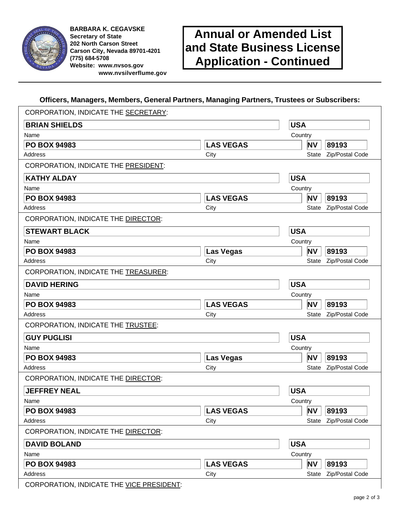

**BARBARA K. CEGAVSKE Secretary of State 202 North Carson Street Carson City, Nevada 89701-4201 (775) 684-5708 Website: www.nvsos.gov www.nvsilverflume.gov** 

## **Annual or Amended List and State Business License Application - Continued**

#### **Officers, Managers, Members, General Partners, Managing Partners, Trustees or Subscribers:**

| CORPORATION, INDICATE THE SECRETARY: |                  |            |                          |                       |  |  |
|--------------------------------------|------------------|------------|--------------------------|-----------------------|--|--|
| <b>BRIAN SHIELDS</b>                 |                  |            | <b>USA</b>               |                       |  |  |
| Name                                 |                  | Country    |                          |                       |  |  |
| <b>PO BOX 94983</b>                  | <b>LAS VEGAS</b> |            | ΝV                       | 89193                 |  |  |
| Address                              | City             |            | State                    | Zip/Postal Code       |  |  |
| CORPORATION, INDICATE THE PRESIDENT: |                  |            |                          |                       |  |  |
| <b>KATHY ALDAY</b>                   |                  | <b>USA</b> |                          |                       |  |  |
| Name                                 |                  | Country    |                          |                       |  |  |
| <b>PO BOX 94983</b>                  | <b>LAS VEGAS</b> |            | ΝV<br>89193              |                       |  |  |
| Address                              | City             |            | Zip/Postal Code<br>State |                       |  |  |
| CORPORATION, INDICATE THE DIRECTOR:  |                  |            |                          |                       |  |  |
| <b>STEWART BLACK</b>                 |                  | <b>USA</b> |                          |                       |  |  |
| Name                                 |                  | Country    |                          |                       |  |  |
| <b>PO BOX 94983</b>                  | Las Vegas        |            | ΝV                       | 89193                 |  |  |
| Address                              | City             |            | <b>State</b>             | Zip/Postal Code       |  |  |
| CORPORATION, INDICATE THE TREASURER: |                  |            |                          |                       |  |  |
| <b>DAVID HERING</b>                  |                  | <b>USA</b> |                          |                       |  |  |
| Name                                 |                  | Country    |                          |                       |  |  |
| <b>PO BOX 94983</b>                  | <b>LAS VEGAS</b> |            | ΝV                       | 89193                 |  |  |
| Address                              | City             |            | State                    | Zip/Postal Code       |  |  |
| CORPORATION, INDICATE THE TRUSTEE:   |                  |            |                          |                       |  |  |
| <b>GUY PUGLISI</b>                   |                  | <b>USA</b> |                          |                       |  |  |
| Name                                 |                  | Country    |                          |                       |  |  |
| <b>PO BOX 94983</b>                  | <b>Las Vegas</b> |            | ΝV                       | 89193                 |  |  |
| Address                              | City             |            | State                    | Zip/Postal Code       |  |  |
| CORPORATION, INDICATE THE DIRECTOR:  |                  |            |                          |                       |  |  |
| <b>JEFFREY NEAL</b>                  |                  | <b>USA</b> |                          |                       |  |  |
| Name                                 |                  | Country    |                          |                       |  |  |
| <b>PO BOX 94983</b>                  | <b>LAS VEGAS</b> |            | ΝV                       | 89193                 |  |  |
| Address                              | City             |            |                          | State Zip/Postal Code |  |  |
| CORPORATION, INDICATE THE DIRECTOR:  |                  |            |                          |                       |  |  |
| <b>DAVID BOLAND</b>                  |                  | <b>USA</b> |                          |                       |  |  |
| Name                                 |                  | Country    |                          |                       |  |  |
| <b>PO BOX 94983</b>                  | <b>LAS VEGAS</b> |            | ΝV                       | 89193                 |  |  |
|                                      |                  |            |                          | Zip/Postal Code       |  |  |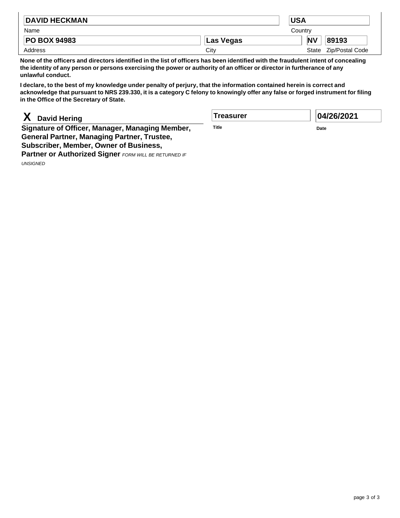| <b>DAVID HECKMAN</b> |           | <b>USA</b>              |  |  |  |
|----------------------|-----------|-------------------------|--|--|--|
| Name                 |           | Country                 |  |  |  |
| <b>PO BOX 94983</b>  | Las Vegas | N <sub>V</sub><br>89193 |  |  |  |
| Address              | City      | State Zip/Postal Code   |  |  |  |

**None of the officers and directors identified in the list of officers has been identified with the fraudulent intent of concealing the identity of any person or persons exercising the power or authority of an officer or director in furtherance of any unlawful conduct.**

**I declare, to the best of my knowledge under penalty of perjury, that the information contained herein is correct and acknowledge that pursuant to NRS 239.330, it is a category C felony to knowingly offer any false or forged instrument for filing in the Office of the Secretary of State.**

### **X David Hering**

**Signature of Officer, Manager, Managing Member, General Partner, Managing Partner, Trustee, Subscriber, Member, Owner of Business,**

**Partner or Authorized Signer** FORM WILL BE RETURNED IF UNSIGNED

**Treasurer** 

**Title**

**04/26/2021**

**Date**